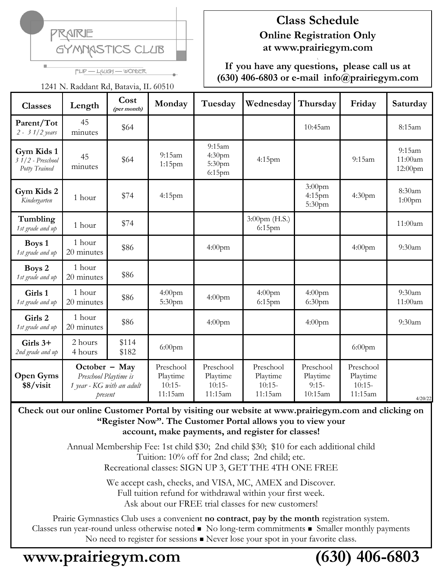

# **Class Schedule Online Registration Only at www.prairiegym.com**

**If you have any questions, please call us at (630) 406-6803 or e-mail info@prairiegym.com**

FLIP - LAUGH - WONDER 1241 N. Raddant Rd, Batavia, IL 60510

| <b>Classes</b>                                    | Length                                                                           | Cost<br>(per month) | Monday                                       | Tuesday                                      | Wednesday                                    | Thursday                                    | Friday                                       | Saturday                     |
|---------------------------------------------------|----------------------------------------------------------------------------------|---------------------|----------------------------------------------|----------------------------------------------|----------------------------------------------|---------------------------------------------|----------------------------------------------|------------------------------|
| Parent/Tot<br>$2 - 31/2$ years                    | 45<br>minutes                                                                    | \$64                |                                              |                                              |                                              | 10:45am                                     |                                              | 8:15am                       |
| Gym Kids 1<br>$31/2$ - Preschool<br>Potty Trained | 45<br>minutes                                                                    | \$64                | 9:15am<br>$1:15$ pm                          | 9:15am<br>4:30pm<br>5:30pm<br>$6:15$ pm      | $4:15$ pm                                    |                                             | 9:15am                                       | 9:15am<br>11:00am<br>12:00pm |
| Gym Kids 2<br>Kindergarten                        | 1 hour                                                                           | \$74                | 4:15pm                                       |                                              |                                              | $3:00$ pm<br>$4:15$ pm<br>5:30pm            | 4:30 <sub>pm</sub>                           | 8:30am<br>$1:00$ pm          |
| Tumbling<br>1st grade and up                      | 1 hour                                                                           | \$74                |                                              |                                              | $3:00 \text{pm (H.S.)}$<br>$6:15$ pm         |                                             |                                              | 11:00am                      |
| Boys 1<br>1st grade and up                        | 1 hour<br>20 minutes                                                             | \$86                |                                              | $4:00$ pm                                    |                                              |                                             | $4:00$ pm                                    | 9:30am                       |
| Boys 2<br>1st grade and up                        | 1 hour<br>20 minutes                                                             | \$86                |                                              |                                              |                                              |                                             |                                              |                              |
| Girls 1<br>1st grade and up                       | 1 hour<br>20 minutes                                                             | \$86                | 4:00 <sub>pm</sub><br>5:30pm                 | $4:00$ pm                                    | $4:00$ pm<br>$6:15$ pm                       | 4:00 <sub>pm</sub><br>6:30 <sub>pm</sub>    |                                              | 9:30am<br>11:00am            |
| Girls 2<br>1st grade and up                       | 1 hour<br>20 minutes                                                             | \$86                |                                              | $4:00$ pm                                    |                                              | $4:00$ pm                                   |                                              | 9:30am                       |
| Girls $3+$<br>2nd grade and up                    | 2 hours<br>4 hours                                                               | \$114<br>\$182      | $6:00$ pm                                    |                                              |                                              |                                             | $6:00$ pm                                    |                              |
| <b>Open Gyms</b><br>\$8/visit                     | October $-$ May<br>Preschool Playtime is<br>1 year - KG with an adult<br>present |                     | Preschool<br>Playtime<br>$10:15-$<br>11:15am | Preschool<br>Playtime<br>$10:15-$<br>11:15am | Preschool<br>Playtime<br>$10:15-$<br>11:15am | Preschool<br>Playtime<br>$9:15-$<br>10:15am | Preschool<br>Playtime<br>$10:15-$<br>11:15am | 4/20/22                      |

**Check out our online Customer Portal by visiting our website at www.prairiegym.com and clicking on "Register Now". The Customer Portal allows you to view your account, make payments, and register for classes!**

> Annual Membership Fee: 1st child \$30; 2nd child \$30; \$10 for each additional child Tuition: 10% off for 2nd class; 2nd child; etc. Recreational classes: SIGN UP 3, GET THE 4TH ONE FREE

> > We accept cash, checks, and VISA, MC, AMEX and Discover. Full tuition refund for withdrawal within your first week. Ask about our FREE trial classes for new customers!

Prairie Gymnastics Club uses a convenient **no contract**, **pay by the month** registration system. Classes run year-round unless otherwise noted ◼ No long-term commitments ◼ Smaller monthly payments No need to register for sessions <sup>◼</sup> Never lose your spot in your favorite class.